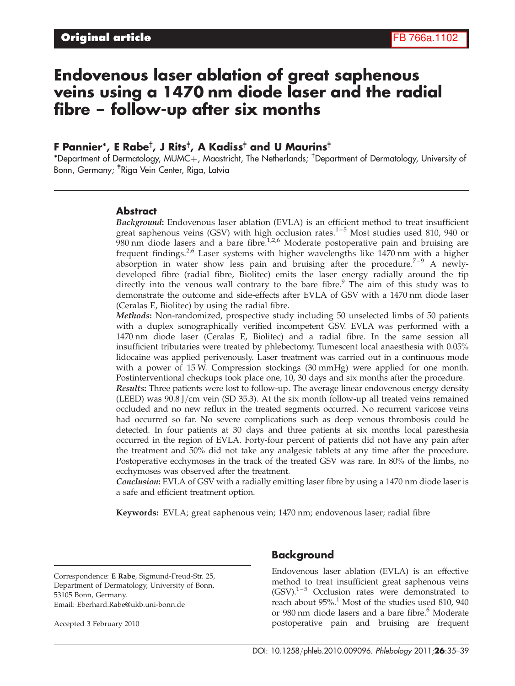# Endovenous laser ablation of great saphenous veins using a 1470 nm diode laser and the radial fibre – follow-up after six months

## F Pannier\*, E Rabe† , J Rits‡ , A Kadiss‡ and U Maurins‡

\*Department of Dermatology, MUMC $+$ , Maastricht, The Netherlands; <sup>†</sup>Department of Dermatology, University of Bonn, Germany; <sup>‡</sup>Riga Vein Center, Riga, Latvia

#### Abstract

Background: Endovenous laser ablation (EVLA) is an efficient method to treat insufficient great saphenous veins (GSV) with high occlusion rates. $1-5$  Most studies used 810, 940 or  $980$  nm diode lasers and a bare fibre.<sup>1,2,6</sup> Moderate postoperative pain and bruising are frequent findings.<sup>2,6</sup> Laser systems with higher wavelengths like 1470 nm with a higher absorption in water show less pain and bruising after the procedure.<sup>7-9</sup> A newlydeveloped fibre (radial fibre, Biolitec) emits the laser energy radially around the tip directly into the venous wall contrary to the bare fibre. $9$  The aim of this study was to demonstrate the outcome and side-effects after EVLA of GSV with a 1470 nm diode laser (Ceralas E, Biolitec) by using the radial fibre.

Methods: Non-randomized, prospective study including 50 unselected limbs of 50 patients with a duplex sonographically verified incompetent GSV. EVLA was performed with a 1470 nm diode laser (Ceralas E, Biolitec) and a radial fibre. In the same session all insufficient tributaries were treated by phlebectomy. Tumescent local anaesthesia with 0.05% lidocaine was applied perivenously. Laser treatment was carried out in a continuous mode with a power of 15 W. Compression stockings (30 mmHg) were applied for one month. Postinterventional checkups took place one, 10, 30 days and six months after the procedure.

Results: Three patients were lost to follow-up. The average linear endovenous energy density (LEED) was  $90.8$  J/cm vein (SD 35.3). At the six month follow-up all treated veins remained occluded and no new reflux in the treated segments occurred. No recurrent varicose veins had occurred so far. No severe complications such as deep venous thrombosis could be detected. In four patients at 30 days and three patients at six months local paresthesia occurred in the region of EVLA. Forty-four percent of patients did not have any pain after the treatment and 50% did not take any analgesic tablets at any time after the procedure. Postoperative ecchymoses in the track of the treated GSV was rare. In 80% of the limbs, no ecchymoses was observed after the treatment.

Conclusion: EVLA of GSV with a radially emitting laser fibre by using a 1470 nm diode laser is a safe and efficient treatment option.

Keywords: EVLA; great saphenous vein; 1470 nm; endovenous laser; radial fibre

Correspondence: E Rabe, Sigmund-Freud-Str. 25, Department of Dermatology, University of Bonn, 53105 Bonn, Germany. Email: Eberhard.Rabe@ukb.uni-bonn.de

Accepted 3 February 2010

### Background

Endovenous laser ablation (EVLA) is an effective method to treat insufficient great saphenous veins  $(GSV).<sup>1–5</sup>$  Occlusion rates were demonstrated to reach about  $95\%$ <sup>1</sup>. Most of the studies used 810, 940 or 980 nm diode lasers and a bare fibre.<sup>6</sup> Moderate postoperative pain and bruising are frequent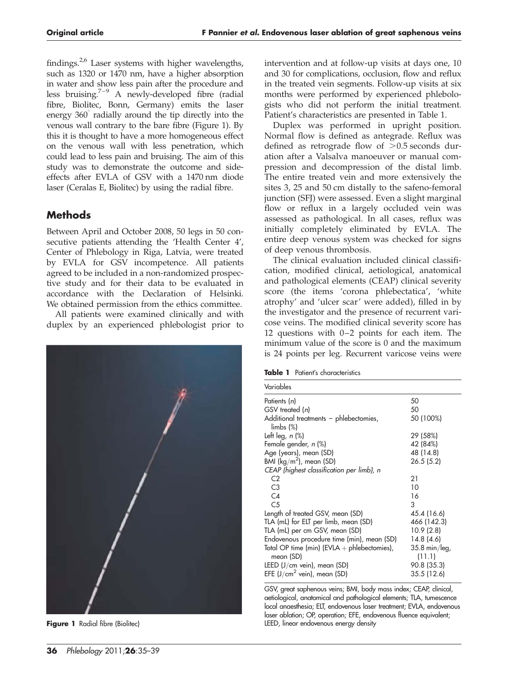findings. $2,6$  Laser systems with higher wavelengths, such as 1320 or 1470 nm, have a higher absorption in water and show less pain after the procedure and less bruising.7–9 A newly-developed fibre (radial fibre, Biolitec, Bonn, Germany) emits the laser energy 360° radially around the tip directly into the venous wall contrary to the bare fibre (Figure 1). By this it is thought to have a more homogeneous effect on the venous wall with less penetration, which could lead to less pain and bruising. The aim of this study was to demonstrate the outcome and sideeffects after EVLA of GSV with a 1470 nm diode laser (Ceralas E, Biolitec) by using the radial fibre.

# **Methods**

Between April and October 2008, 50 legs in 50 consecutive patients attending the 'Health Center 4', Center of Phlebology in Riga, Latvia, were treated by EVLA for GSV incompetence. All patients agreed to be included in a non-randomized prospective study and for their data to be evaluated in accordance with the Declaration of Helsinki. We obtained permission from the ethics committee.

All patients were examined clinically and with duplex by an experienced phlebologist prior to



**Figure 1** Radial fibre (Biolitec)

intervention and at follow-up visits at days one, 10 and 30 for complications, occlusion, flow and reflux in the treated vein segments. Follow-up visits at six months were performed by experienced phlebologists who did not perform the initial treatment. Patient's characteristics are presented in Table 1.

Duplex was performed in upright position. Normal flow is defined as antegrade. Reflux was defined as retrograde flow of  $>0.5$  seconds duration after a Valsalva manoeuver or manual compression and decompression of the distal limb. The entire treated vein and more extensively the sites 3, 25 and 50 cm distally to the safeno-femoral junction (SFJ) were assessed. Even a slight marginal flow or reflux in a largely occluded vein was assessed as pathological. In all cases, reflux was initially completely eliminated by EVLA. The entire deep venous system was checked for signs of deep venous thrombosis.

The clinical evaluation included clinical classification, modified clinical, aetiological, anatomical and pathological elements (CEAP) clinical severity score (the items 'corona phlebectatica', 'white atrophy' and 'ulcer scar' were added), filled in by the investigator and the presence of recurrent varicose veins. The modified clinical severity score has 12 questions with 0–2 points for each item. The minimum value of the score is 0 and the maximum is 24 points per leg. Recurrent varicose veins were

Table 1 Patient's characteristics

| Variables                                     |                        |
|-----------------------------------------------|------------------------|
| Patients (n)                                  | 50                     |
| GSV treated (n)                               | 50                     |
| Additional treatments - phlebectomies,        | 50 (100%)              |
| $\lim_{s \to \infty}$                         |                        |
| Left leg, $n$ (%)                             | 29 (58%)               |
| Female gender, n (%)                          | 42 (84%)               |
| Age (years), mean (SD)                        | 48 (14.8)              |
| BMI ( $\text{kg/m}^2$ ), mean (SD)            | 26.5(5.2)              |
| CEAP (highest classification per limb), n     |                        |
| C <sub>2</sub>                                | 21                     |
| C <sub>3</sub>                                | 10                     |
| C <sub>4</sub>                                | 16                     |
| C <sub>5</sub>                                | 3                      |
| Length of treated GSV, mean (SD)              | 45.4 (16.6)            |
| TLA (mL) for ELT per limb, mean (SD)          | 466 (142.3)            |
| TLA (mL) per cm GSV, mean (SD)                | 10.9(2.8)              |
| Endovenous procedure time (min), mean (SD)    | 14.8(4.6)              |
| Total OP time (min) (EVLA $+$ phlebectomies), | $35.8 \text{ min/leg}$ |
| mean (SD)                                     | (11.1)                 |
| LEED $(J/cm$ vein), mean (SD)                 | 90.8 (35.3)            |
| EFE $(J/cm2$ vein), mean (SD)                 | 35.5 (12.6)            |

GSV, great saphenous veins; BMI, body mass index; CEAP, clinical, aetiological, anatomical and pathological elements; TLA, tumescence local anaesthesia; ELT, endovenous laser treatment; EVLA, endovenous laser ablation; OP, operation; EFE, endovenous fluence equivalent; LEED, linear endovenous energy density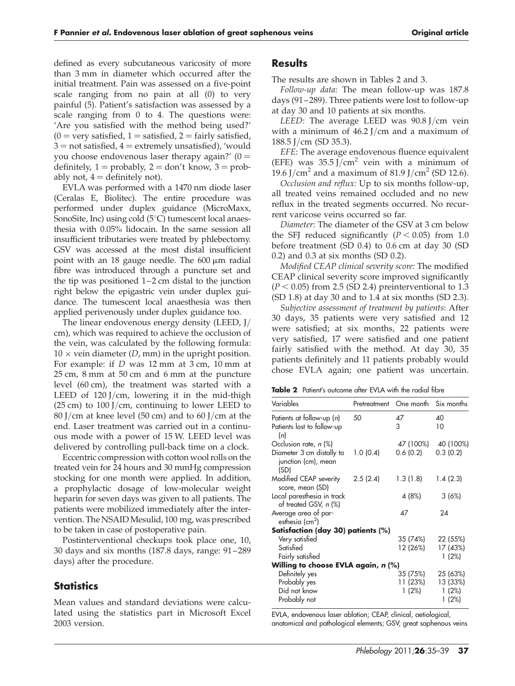defined as every subcutaneous varicosity of more than 3 mm in diameter which occurred after the initial treatment. Pain was assessed on a five-point scale ranging from no pain at all (0) to very painful (5). Patient's satisfaction was assessed by a scale ranging from 0 to 4. The questions were: 'Are you satisfied with the method being used?'  $(0 = \text{very satisfied}, 1 = \text{satisfied}, 2 = \text{fairly satisfied},$  $3 =$  not satisfied,  $4 =$  extremely unsatisfied), 'would you choose endovenous laser therapy again?'  $(0 =$ definitely,  $1 =$  probably,  $2 =$  don't know,  $3 =$  probably not,  $4 =$  definitely not).

EVLA was performed with a 1470 nm diode laser (Ceralas E, Biolitec). The entire procedure was performed under duplex guidance (MicroMaxx, SonoSite, Inc) using cold  $(5^{\circ}C)$  tumescent local anaesthesia with 0.05% lidocain. In the same session all insufficient tributaries were treated by phlebectomy. GSV was accessed at the most distal insufficient point with an 18 gauge needle. The  $600 \mu m$  radial fibre was introduced through a puncture set and the tip was positioned 1–2 cm distal to the junction right below the epigastric vein under duplex guidance. The tumescent local anaesthesia was then applied perivenously under duplex guidance too.

The linear endovenous energy density (LEED, J/ cm), which was required to achieve the occlusion of the vein, was calculated by the following formula:  $10 \times$  vein diameter (*D*, mm) in the upright position. For example: if *D* was 12 mm at 3 cm, 10 mm at 25 cm, 8 mm at 50 cm and 6 mm at the puncture level (60 cm), the treatment was started with a LEED of  $120$  J/cm, lowering it in the mid-thigh  $(25 \text{ cm})$  to  $100$  J/cm, continuing to lower LEED to 80 J/cm at knee level (50 cm) and to 60 J/cm at the end. Laser treatment was carried out in a continuous mode with a power of 15 W. LEED level was delivered by controlling pull-back time on a clock.

Eccentric compression with cotton wool rolls on the treated vein for 24 hours and 30 mmHg compression stocking for one month were applied. In addition, a prophylactic dosage of low-molecular weight heparin for seven days was given to all patients. The patients were mobilized immediately after the intervention. The NSAID Mesulid, 100 mg, was prescribed to be taken in case of postoperative pain.

Postinterventional checkups took place one, 10, 30 days and six months (187.8 days, range: 91– 289 days) after the procedure.

## **Statistics**

Mean values and standard deviations were calculated using the statistics part in Microsoft Excel 2003 version.

### **Results**

The results are shown in Tables 2 and 3.

*Follow-up data*: The mean follow-up was 187.8 days (91 – 289). Three patients were lost to follow-up at day 30 and 10 patients at six months.

*LEED*: The average LEED was 90.8 J/cm vein with a minimum of 46.2 J/cm and a maximum of 188.5 J/cm (SD 35.3).

*EFE*: The average endovenous fluence equivalent (EFE) was  $35.5 \text{ J/cm}^2$  vein with a minimum of 19.6 J/cm<sup>2</sup> and a maximum of 81.9 J/cm<sup>2</sup> (SD 12.6).

*Occlusion and reflux:* Up to six months follow-up, all treated veins remained occluded and no new reflux in the treated segments occurred. No recurrent varicose veins occurred so far.

*Diameter*: The diameter of the GSV at 3 cm below the SFI reduced significantly  $(P < 0.05)$  from 1.0 before treatment (SD 0.4) to 0.6 cm at day 30 (SD 0.2) and 0.3 at six months (SD 0.2).

*Modified CEAP clinical severity score:* The modified CEAP clinical severity score improved significantly  $(P < 0.05)$  from 2.5 (SD 2.4) preinterventional to 1.3 (SD 1.8) at day 30 and to 1.4 at six months (SD 2.3).

*Subjective assessment of treatment by patients*: After 30 days, 35 patients were very satisfied and 12 were satisfied; at six months, 22 patients were very satisfied, 17 were satisfied and one patient fairly satisfied with the method. At day 30, 35 patients definitely and 11 patients probably would chose EVLA again; one patient was uncertain.

| <b>Table 2</b> Patient's outcome after EVLA with the radial fibre |  |  |  |  |  |  |  |  |
|-------------------------------------------------------------------|--|--|--|--|--|--|--|--|
|-------------------------------------------------------------------|--|--|--|--|--|--|--|--|

| Variables                                                | Pretreatment | One month            | Six months           |  |  |  |  |
|----------------------------------------------------------|--------------|----------------------|----------------------|--|--|--|--|
| Patients at follow-up (n)                                | 50           | 47                   | 40                   |  |  |  |  |
| Patients lost to follow-up<br>(n)                        |              | 3                    | 10                   |  |  |  |  |
| Occlusion rate, n (%)                                    |              | 47 (100%)            | 40 (100%)            |  |  |  |  |
| Diameter 3 cm distally to<br>junction (cm), mean<br>(SD) | 1.0(0.4)     | 0.6(0.2)             | 0.3(0.2)             |  |  |  |  |
| Modified CEAP severity<br>score, mean (SD)               | 2.5(2.4)     | 1.3(1.8)             | 1.4(2.3)             |  |  |  |  |
| Local paresthesia in track<br>of treated GSV, n (%)      |              | 4 (8%)               | 3(6%)                |  |  |  |  |
| Average area of par-<br>esthesia (cm <sup>2</sup> )      |              | 47                   | 24                   |  |  |  |  |
| Satisfaction (day 30) patients (%)                       |              |                      |                      |  |  |  |  |
| Very satisfied                                           |              | 35 (74%)             | 22 (55%)             |  |  |  |  |
| Satisfied                                                |              | 12 (26%)             | 17 (43%)             |  |  |  |  |
| Fairly satisfied                                         |              |                      | 1(2%)                |  |  |  |  |
| Willing to choose EVLA again, $n$ (%)                    |              |                      |                      |  |  |  |  |
| Definitely yes<br>Probably yes                           |              | 35 (75%)<br>11 (23%) | 25 (63%)<br>13 (33%) |  |  |  |  |
| Did not know<br>Probably not                             |              | 1(2%)                | 1(2%)<br>1(2%)       |  |  |  |  |

EVLA, endovenous laser ablation; CEAP, clinical, aetiological, anatomical and pathological elements; GSV, great saphenous veins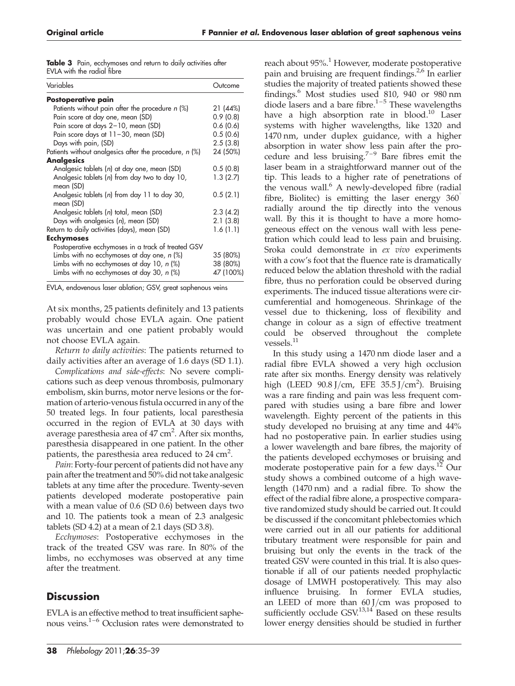|  | Table 3 Pain, ecchymoses and return to daily activities after |  |  |  |
|--|---------------------------------------------------------------|--|--|--|
|  | EVLA with the radial fibre                                    |  |  |  |

| Variables                                                  | Outcome   |
|------------------------------------------------------------|-----------|
| Postoperative pain                                         |           |
| Patients without pain after the procedure $n$ (%)          | 21 (44%)  |
| Pain score at day one, mean (SD)                           | 0.9(0.8)  |
| Pain score at days 2-10, mean (SD)                         | 0.6(0.6)  |
| Pain score days at 11-30, mean (SD)                        | 0.5(0.6)  |
| Days with pain, (SD)                                       | 2.5(3.8)  |
| Patients without analgesics after the procedure, $n$ (%)   | 24 (50%)  |
| <b>Analgesics</b>                                          |           |
| Analgesic tablets (n) at day one, mean (SD)                | 0.5(0.8)  |
| Analgesic tablets (n) from day two to day 10,<br>mean (SD) | 1.3(2.7)  |
| Analgesic tablets (n) from day 11 to day 30,<br>mean (SD)  | 0.5(2.1)  |
| Analgesic tablets (n) total, mean (SD)                     | 2.3(4.2)  |
| Days with analgesics (n), mean (SD)                        | 2.1(3.8)  |
| Return to daily activities (days), mean (SD)               | 1.6(1.1)  |
| <b>Ecchymoses</b>                                          |           |
| Postoperative ecchymoses in a track of treated GSV         |           |
| Limbs with no ecchymoses at day one, n (%)                 | 35 (80%)  |
| Limbs with no ecchymoses at day 10, $n$ (%)                | 38 (80%)  |
| Limbs with no ecchymoses at day 30, $n$ (%)                | 47 (100%) |

EVLA, endovenous laser ablation; GSV, great saphenous veins

At six months, 25 patients definitely and 13 patients probably would chose EVLA again. One patient was uncertain and one patient probably would not choose EVLA again.

*Return to daily activities*: The patients returned to daily activities after an average of 1.6 days (SD 1.1).

*Complications and side-effects*: No severe complications such as deep venous thrombosis, pulmonary embolism, skin burns, motor nerve lesions or the formation of arterio-venous fistula occurred in any of the 50 treated legs. In four patients, local paresthesia occurred in the region of EVLA at 30 days with average paresthesia area of 47 cm<sup>2</sup>. After six months, paresthesia disappeared in one patient. In the other patients, the paresthesia area reduced to  $24 \text{ cm}^2$ .

*Pain*: Forty-four percent of patients did not have any pain after the treatment and 50% did not take analgesic tablets at any time after the procedure. Twenty-seven patients developed moderate postoperative pain with a mean value of 0.6 (SD 0.6) between days two and 10. The patients took a mean of 2.3 analgesic tablets (SD 4.2) at a mean of 2.1 days (SD 3.8).

*Ecchymoses*: Postoperative ecchymoses in the track of the treated GSV was rare. In 80% of the limbs, no ecchymoses was observed at any time after the treatment.

# **Discussion**

EVLA is an effective method to treat insufficient saphenous veins.1–6 Occlusion rates were demonstrated to

reach about 95%.<sup>1</sup> However, moderate postoperative pain and bruising are frequent findings.<sup>2,6</sup> In earlier studies the majority of treated patients showed these findings.<sup>6</sup> Most studies used 810, 940 or 980 nm diode lasers and a bare fibre.<sup>1-5</sup> These wavelengths have a high absorption rate in blood.<sup>10</sup> Laser systems with higher wavelengths, like 1320 and 1470 nm, under duplex guidance, with a higher absorption in water show less pain after the procedure and less bruising.<sup>7–9</sup> Bare fibres emit the laser beam in a straightforward manner out of the tip. This leads to a higher rate of penetrations of the venous wall.<sup>6</sup> A newly-developed fibre (radial fibre, Biolitec) is emitting the laser energy  $360^\circ$ radially around the tip directly into the venous wall. By this it is thought to have a more homogeneous effect on the venous wall with less penetration which could lead to less pain and bruising. Sroka could demonstrate in *ex vivo* experiments with a cow's foot that the fluence rate is dramatically reduced below the ablation threshold with the radial fibre, thus no perforation could be observed during experiments. The induced tissue alterations were circumferential and homogeneous. Shrinkage of the vessel due to thickening, loss of flexibility and change in colour as a sign of effective treatment could be observed throughout the complete  $\,$ vessels. $^{11}$ 

In this study using a 1470 nm diode laser and a radial fibre EVLA showed a very high occlusion rate after six months. Energy density was relatively high (LEED  $90.8$  J/cm, EFE  $35.5$  J/cm<sup>2</sup>). Bruising was a rare finding and pain was less frequent compared with studies using a bare fibre and lower wavelength. Eighty percent of the patients in this study developed no bruising at any time and 44% had no postoperative pain. In earlier studies using a lower wavelength and bare fibres, the majority of the patients developed ecchymoses or bruising and moderate postoperative pain for a few days.<sup>12</sup> Our study shows a combined outcome of a high wavelength (1470 nm) and a radial fibre. To show the effect of the radial fibre alone, a prospective comparative randomized study should be carried out. It could be discussed if the concomitant phlebectomies which were carried out in all our patients for additional tributary treatment were responsible for pain and bruising but only the events in the track of the treated GSV were counted in this trial. It is also questionable if all of our patients needed prophylactic dosage of LMWH postoperatively. This may also influence bruising. In former EVLA studies, an LEED of more than 60 J/cm was proposed to sufficiently occlude  $GSV^{13,14}$  Based on these results lower energy densities should be studied in further